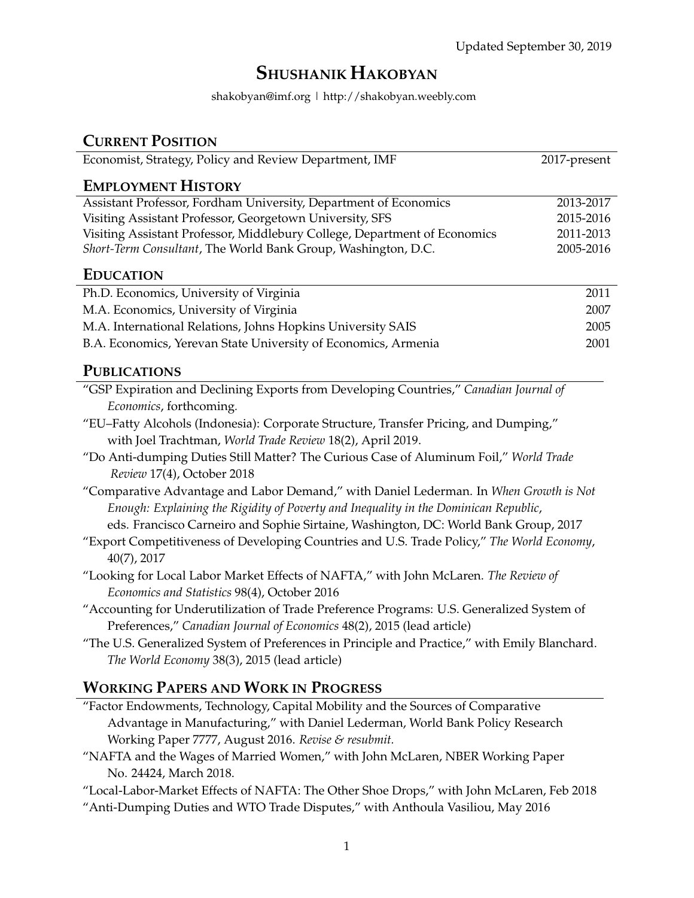# **SHUSHANIK HAKOBYAN**

shakobyan@imf.org | http://shakobyan.weebly.com

| <b>CURRENT POSITION</b>                                                                       |              |
|-----------------------------------------------------------------------------------------------|--------------|
| Economist, Strategy, Policy and Review Department, IMF                                        | 2017-present |
| <b>EMPLOYMENT HISTORY</b>                                                                     |              |
| Assistant Professor, Fordham University, Department of Economics                              | 2013-2017    |
| Visiting Assistant Professor, Georgetown University, SFS                                      | 2015-2016    |
| Visiting Assistant Professor, Middlebury College, Department of Economics                     | 2011-2013    |
| Short-Term Consultant, The World Bank Group, Washington, D.C.                                 | 2005-2016    |
| <b>EDUCATION</b>                                                                              |              |
| Ph.D. Economics, University of Virginia                                                       | 2011         |
| M.A. Economics, University of Virginia                                                        | 2007         |
| M.A. International Relations, Johns Hopkins University SAIS                                   | 2005         |
| B.A. Economics, Yerevan State University of Economics, Armenia                                | 2001         |
| <b>PUBLICATIONS</b>                                                                           |              |
| "GSP Expiration and Declining Exports from Developing Countries," Canadian Journal of         |              |
| Economics, forthcoming.                                                                       |              |
| "EU-Fatty Alcohols (Indonesia): Corporate Structure, Transfer Pricing, and Dumping,"          |              |
| with Joel Trachtman, World Trade Review 18(2), April 2019.                                    |              |
| "Do Anti-dumping Duties Still Matter? The Curious Case of Aluminum Foil," World Trade         |              |
| Review 17(4), October 2018                                                                    |              |
| "Comparative Advantage and Labor Demand," with Daniel Lederman. In When Growth is Not         |              |
| Enough: Explaining the Rigidity of Poverty and Inequality in the Dominican Republic,          |              |
| eds. Francisco Carneiro and Sophie Sirtaine, Washington, DC: World Bank Group, 2017           |              |
| "Export Competitiveness of Developing Countries and U.S. Trade Policy," The World Economy,    |              |
| $40(7)$ , $2017$                                                                              |              |
| "Looking for Local Labor Market Effects of NAFTA," with John McLaren. The Review of           |              |
| Economics and Statistics 98(4), October 2016                                                  |              |
| "Accounting for Underutilization of Trade Preference Programs: U.S. Generalized System of     |              |
| Preferences," Canadian Journal of Economics 48(2), 2015 (lead article)                        |              |
| "The U.S. Generalized System of Preferences in Principle and Practice," with Emily Blanchard. |              |
| The World Economy 38(3), 2015 (lead article)                                                  |              |
| <b>WORKING PAPERS AND WORK IN PROGRESS</b>                                                    |              |
| "Easter Enderumente Technology Capital Mobility and the Courses of Comparative                |              |

- "Factor Endowments, Technology, Capital Mobility and the Sources of Comparative Advantage in Manufacturing," with Daniel Lederman, World Bank Policy Research Working Paper 7777, August 2016. *Revise & resubmit.*
- "NAFTA and the Wages of Married Women," with John McLaren, NBER Working Paper No. 24424, March 2018.
- "Local-Labor-Market Effects of NAFTA: The Other Shoe Drops," with John McLaren, Feb 2018
- "Anti-Dumping Duties and WTO Trade Disputes," with Anthoula Vasiliou, May 2016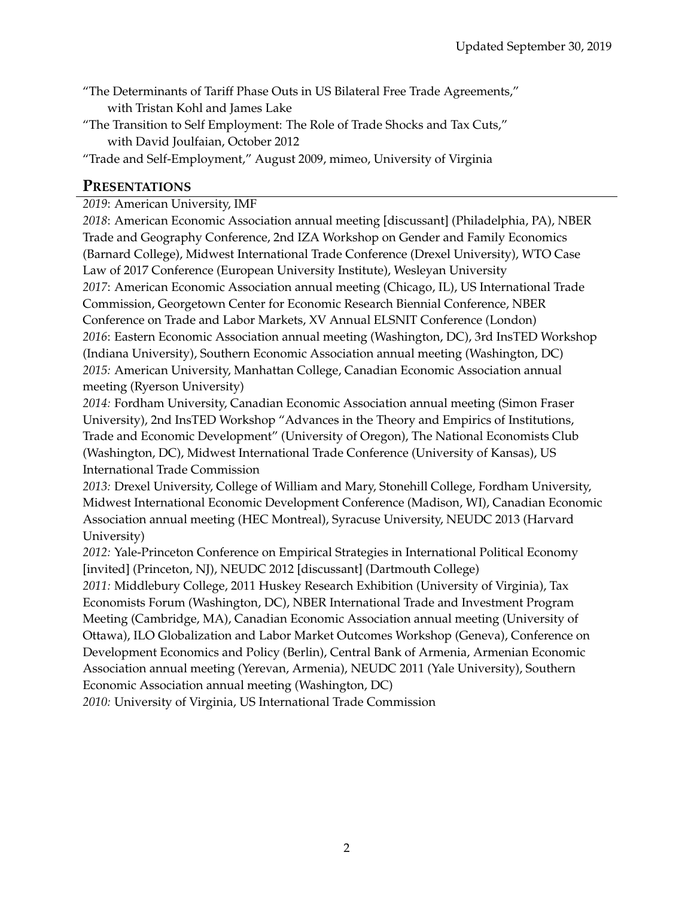- "The Determinants of Tariff Phase Outs in US Bilateral Free Trade Agreements," with Tristan Kohl and James Lake
- "The Transition to Self Employment: The Role of Trade Shocks and Tax Cuts," with David Joulfaian, October 2012
- "Trade and Self-Employment," August 2009, mimeo, University of Virginia

### **PRESENTATIONS**

*2019*: American University, IMF

*2018*: American Economic Association annual meeting [discussant] (Philadelphia, PA), NBER Trade and Geography Conference, 2nd IZA Workshop on Gender and Family Economics (Barnard College), Midwest International Trade Conference (Drexel University), WTO Case Law of 2017 Conference (European University Institute), Wesleyan University *2017*: American Economic Association annual meeting (Chicago, IL), US International Trade Commission, Georgetown Center for Economic Research Biennial Conference, NBER Conference on Trade and Labor Markets, XV Annual ELSNIT Conference (London) *2016*: Eastern Economic Association annual meeting (Washington, DC), 3rd InsTED Workshop (Indiana University), Southern Economic Association annual meeting (Washington, DC) *2015:* American University, Manhattan College, Canadian Economic Association annual meeting (Ryerson University)

*2014:* Fordham University, Canadian Economic Association annual meeting (Simon Fraser University), 2nd InsTED Workshop "Advances in the Theory and Empirics of Institutions, Trade and Economic Development" (University of Oregon), The National Economists Club (Washington, DC), Midwest International Trade Conference (University of Kansas), US International Trade Commission

*2013:* Drexel University, College of William and Mary, Stonehill College, Fordham University, Midwest International Economic Development Conference (Madison, WI), Canadian Economic Association annual meeting (HEC Montreal), Syracuse University, NEUDC 2013 (Harvard University)

*2012:* Yale-Princeton Conference on Empirical Strategies in International Political Economy [invited] (Princeton, NJ), NEUDC 2012 [discussant] (Dartmouth College)

*2011:* Middlebury College, 2011 Huskey Research Exhibition (University of Virginia), Tax Economists Forum (Washington, DC), NBER International Trade and Investment Program Meeting (Cambridge, MA), Canadian Economic Association annual meeting (University of Ottawa), ILO Globalization and Labor Market Outcomes Workshop (Geneva), Conference on Development Economics and Policy (Berlin), Central Bank of Armenia, Armenian Economic Association annual meeting (Yerevan, Armenia), NEUDC 2011 (Yale University), Southern Economic Association annual meeting (Washington, DC)

*2010:* University of Virginia, US International Trade Commission